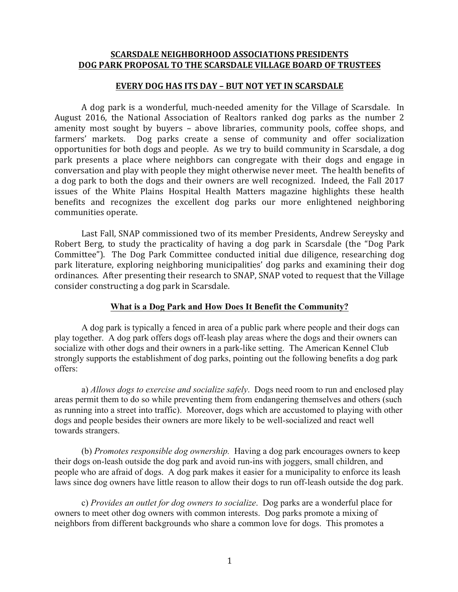# **SCARSDALE NEIGHBORHOOD ASSOCIATIONS PRESIDENTS DOG PARK PROPOSAL TO THE SCARSDALE VILLAGE BOARD OF TRUSTEES**

### **EVERY DOG HAS ITS DAY - BUT NOT YET IN SCARSDALE**

A dog park is a wonderful, much-needed amenity for the Village of Scarsdale. In August 2016, the National Association of Realtors ranked dog parks as the number 2 amenity most sought by buyers – above libraries, community pools, coffee shops, and farmers' markets. Dog parks create a sense of community and offer socialization opportunities for both dogs and people. As we try to build community in Scarsdale, a dog park presents a place where neighbors can congregate with their dogs and engage in conversation and play with people they might otherwise never meet. The health benefits of a dog park to both the dogs and their owners are well recognized. Indeed, the Fall 2017 issues of the White Plains Hospital Health Matters magazine highlights these health benefits and recognizes the excellent dog parks our more enlightened neighboring communities operate.

Last Fall, SNAP commissioned two of its member Presidents, Andrew Sereysky and Robert Berg, to study the practicality of having a dog park in Scarsdale (the "Dog Park" Committee"). The Dog Park Committee conducted initial due diligence, researching dog park literature, exploring neighboring municipalities' dog parks and examining their dog ordinances. After presenting their research to SNAP, SNAP voted to request that the Village consider constructing a dog park in Scarsdale.

#### **What is a Dog Park and How Does It Benefit the Community?**

 A dog park is typically a fenced in area of a public park where people and their dogs can play together. A dog park offers dogs off-leash play areas where the dogs and their owners can socialize with other dogs and their owners in a park-like setting. The American Kennel Club strongly supports the establishment of dog parks, pointing out the following benefits a dog park offers:

 a) *Allows dogs to exercise and socialize safely*.Dogs need room to run and enclosed play areas permit them to do so while preventing them from endangering themselves and others (such as running into a street into traffic). Moreover, dogs which are accustomed to playing with other dogs and people besides their owners are more likely to be well-socialized and react well towards strangers.

 (b) *Promotes responsible dog ownership.*Having a dog park encourages owners to keep their dogs on-leash outside the dog park and avoid run-ins with joggers, small children, and people who are afraid of dogs. A dog park makes it easier for a municipality to enforce its leash laws since dog owners have little reason to allow their dogs to run off-leash outside the dog park.

 c) *Provides an outlet for dog owners to socialize*. Dog parks are a wonderful place for owners to meet other dog owners with common interests. Dog parks promote a mixing of neighbors from different backgrounds who share a common love for dogs. This promotes a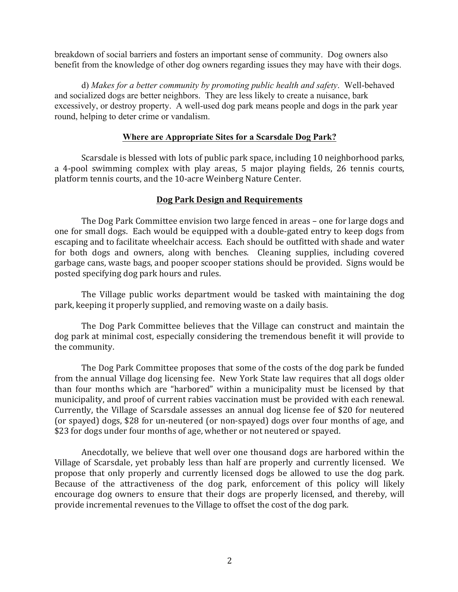breakdown of social barriers and fosters an important sense of community. Dog owners also benefit from the knowledge of other dog owners regarding issues they may have with their dogs.

 d) *Makes for a better community by promoting public health and safety*.Well-behaved and socialized dogs are better neighbors. They are less likely to create a nuisance, bark excessively, or destroy property. A well-used dog park means people and dogs in the park year round, helping to deter crime or vandalism.

### **Where are Appropriate Sites for a Scarsdale Dog Park?**

Scarsdale is blessed with lots of public park space, including 10 neighborhood parks, a 4-pool swimming complex with play areas, 5 major playing fields, 26 tennis courts, platform tennis courts, and the 10-acre Weinberg Nature Center.

## **Dog Park Design and Requirements**

The Dog Park Committee envision two large fenced in areas – one for large dogs and one for small dogs. Each would be equipped with a double-gated entry to keep dogs from escaping and to facilitate wheelchair access. Each should be outfitted with shade and water for both dogs and owners, along with benches. Cleaning supplies, including covered garbage cans, waste bags, and pooper scooper stations should be provided. Signs would be posted specifying dog park hours and rules.

The Village public works department would be tasked with maintaining the dog park, keeping it properly supplied, and removing waste on a daily basis.

The Dog Park Committee believes that the Village can construct and maintain the  $\log$  park at minimal cost, especially considering the tremendous benefit it will provide to the community.

The Dog Park Committee proposes that some of the costs of the dog park be funded from the annual Village dog licensing fee. New York State law requires that all dogs older than four months which are "harbored" within a municipality must be licensed by that municipality, and proof of current rabies vaccination must be provided with each renewal. Currently, the Village of Scarsdale assesses an annual dog license fee of \$20 for neutered (or spayed) dogs, \$28 for un-neutered (or non-spayed) dogs over four months of age, and \$23 for dogs under four months of age, whether or not neutered or spayed.

Anecdotally, we believe that well over one thousand dogs are harbored within the Village of Scarsdale, yet probably less than half are properly and currently licensed. We propose that only properly and currently licensed dogs be allowed to use the dog park. Because of the attractiveness of the dog park, enforcement of this policy will likely encourage dog owners to ensure that their dogs are properly licensed, and thereby, will provide incremental revenues to the Village to offset the cost of the dog park.